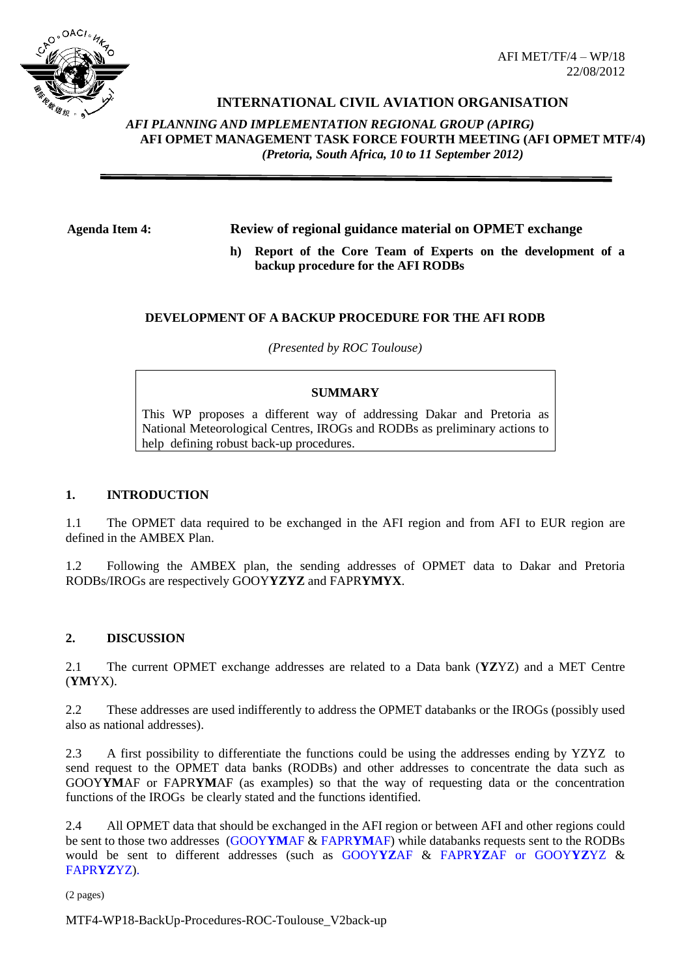

# **INTERNATIONAL CIVIL AVIATION ORGANISATION**

*AFI PLANNING AND IMPLEMENTATION REGIONAL GROUP (APIRG)* **AFI OPMET MANAGEMENT TASK FORCE FOURTH MEETING (AFI OPMET MTF/4)**  *(Pretoria, South Africa, 10 to 11 September 2012)*

# **Agenda Item 4: Review of regional guidance material on OPMET exchange**

**h) Report of the Core Team of Experts on the development of a backup procedure for the AFI RODBs**

#### **DEVELOPMENT OF A BACKUP PROCEDURE FOR THE AFI RODB**

*(Presented by ROC Toulouse)*

#### **SUMMARY**

This WP proposes a different way of addressing Dakar and Pretoria as National Meteorological Centres, IROGs and RODBs as preliminary actions to help defining robust back-up procedures.

#### **1. INTRODUCTION**

1.1 The OPMET data required to be exchanged in the AFI region and from AFI to EUR region are defined in the AMBEX Plan.

1.2 Following the AMBEX plan, the sending addresses of OPMET data to Dakar and Pretoria RODBs/IROGs are respectively GOOY**YZYZ** and FAPR**YMYX**.

#### **2. DISCUSSION**

2.1 The current OPMET exchange addresses are related to a Data bank (**YZ**YZ) and a MET Centre (**YM**YX).

2.2 These addresses are used indifferently to address the OPMET databanks or the IROGs (possibly used also as national addresses).

2.3 A first possibility to differentiate the functions could be using the addresses ending by YZYZ to send request to the OPMET data banks (RODBs) and other addresses to concentrate the data such as GOOY**YM**AF or FAPR**YM**AF (as examples) so that the way of requesting data or the concentration functions of the IROGs be clearly stated and the functions identified.

2.4 All OPMET data that should be exchanged in the AFI region or between AFI and other regions could be sent to those two addresses (GOOY**YM**AF & FAPR**YM**AF) while databanks requests sent to the RODBs would be sent to different addresses (such as GOOY**YZ**AF & FAPR**YZ**AF or GOOY**YZ**YZ & FAPR**YZ**YZ).

(2 pages)

MTF4-WP18-BackUp-Procedures-ROC-Toulouse\_V2back-up